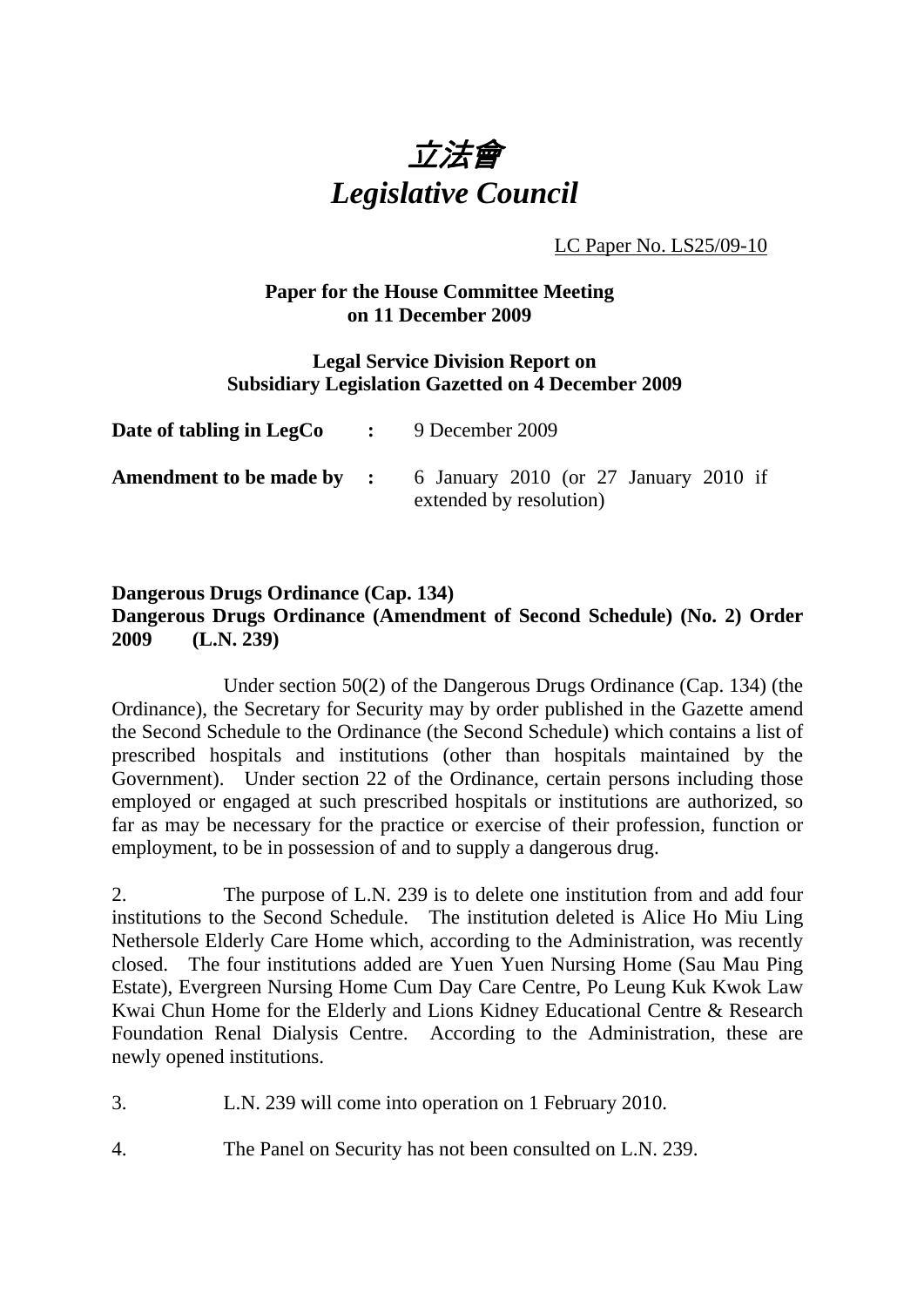

LC Paper No. LS25/09-10

## **Paper for the House Committee Meeting on 11 December 2009**

#### **Legal Service Division Report on Subsidiary Legislation Gazetted on 4 December 2009**

| Date of tabling in LegCo | $\therefore$ 9 December 2009                                                                      |
|--------------------------|---------------------------------------------------------------------------------------------------|
|                          | <b>Amendment to be made by :</b> 6 January 2010 (or 27 January 2010 if<br>extended by resolution) |

#### **Dangerous Drugs Ordinance (Cap. 134) Dangerous Drugs Ordinance (Amendment of Second Schedule) (No. 2) Order 2009 (L.N. 239)**

 Under section 50(2) of the Dangerous Drugs Ordinance (Cap. 134) (the Ordinance), the Secretary for Security may by order published in the Gazette amend the Second Schedule to the Ordinance (the Second Schedule) which contains a list of prescribed hospitals and institutions (other than hospitals maintained by the Government). Under section 22 of the Ordinance, certain persons including those employed or engaged at such prescribed hospitals or institutions are authorized, so far as may be necessary for the practice or exercise of their profession, function or employment, to be in possession of and to supply a dangerous drug.

2. The purpose of L.N. 239 is to delete one institution from and add four institutions to the Second Schedule. The institution deleted is Alice Ho Miu Ling Nethersole Elderly Care Home which, according to the Administration, was recently closed. The four institutions added are Yuen Yuen Nursing Home (Sau Mau Ping Estate), Evergreen Nursing Home Cum Day Care Centre, Po Leung Kuk Kwok Law Kwai Chun Home for the Elderly and Lions Kidney Educational Centre & Research Foundation Renal Dialysis Centre. According to the Administration, these are newly opened institutions.

- 3. L.N. 239 will come into operation on 1 February 2010.
- 4. The Panel on Security has not been consulted on L.N. 239.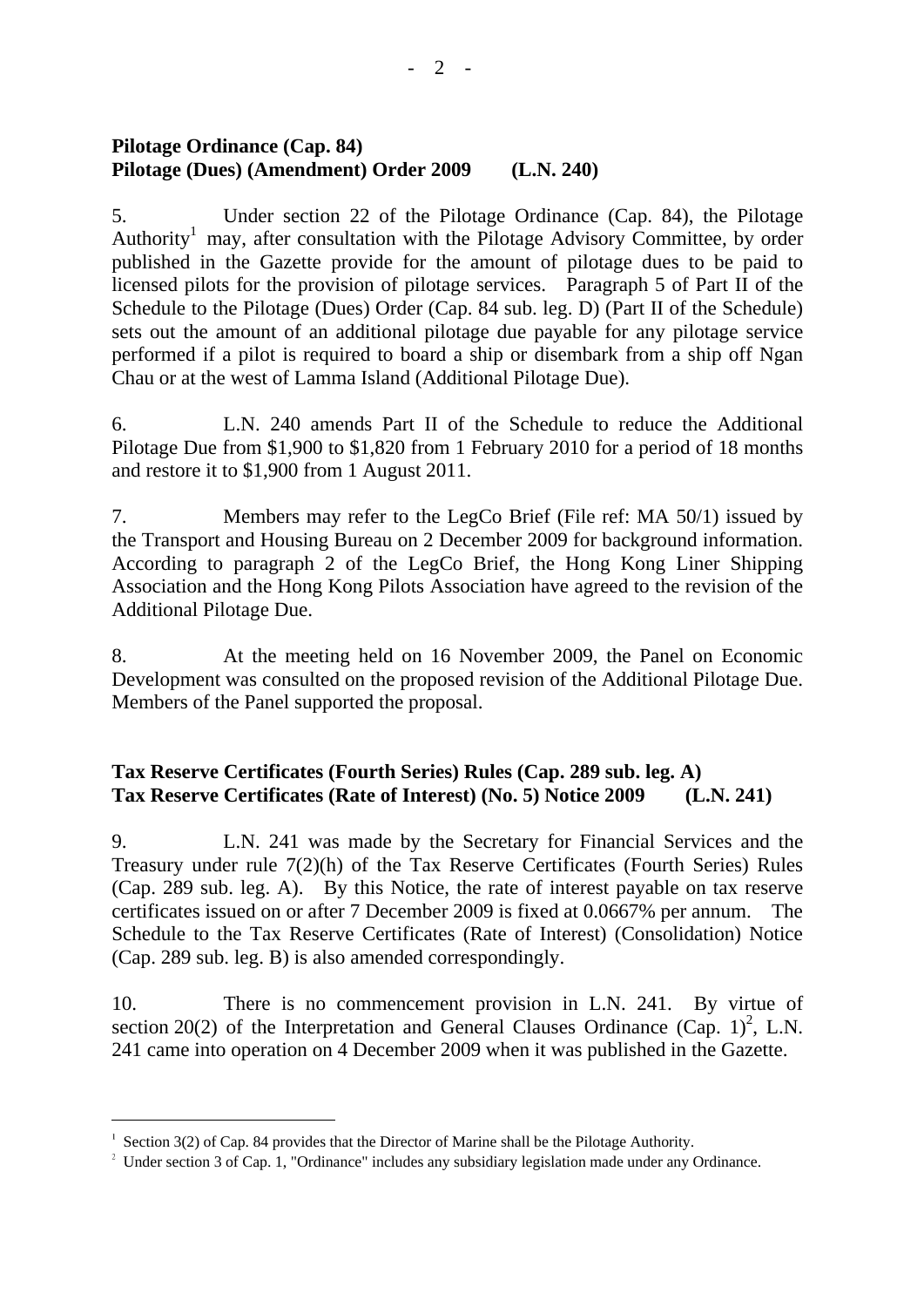## **Pilotage Ordinance (Cap. 84) Pilotage (Dues) (Amendment) Order 2009 (L.N. 240)**

5. Under section 22 of the Pilotage Ordinance (Cap. 84), the Pilotage Authority<sup>1</sup> may, after consultation with the Pilotage Advisory Committee, by order published in the Gazette provide for the amount of pilotage dues to be paid to licensed pilots for the provision of pilotage services. Paragraph 5 of Part II of the Schedule to the Pilotage (Dues) Order (Cap. 84 sub. leg. D) (Part II of the Schedule) sets out the amount of an additional pilotage due payable for any pilotage service performed if a pilot is required to board a ship or disembark from a ship off Ngan Chau or at the west of Lamma Island (Additional Pilotage Due).

6. L.N. 240 amends Part II of the Schedule to reduce the Additional Pilotage Due from \$1,900 to \$1,820 from 1 February 2010 for a period of 18 months and restore it to \$1,900 from 1 August 2011.

7. Members may refer to the LegCo Brief (File ref: MA 50/1) issued by the Transport and Housing Bureau on 2 December 2009 for background information. According to paragraph 2 of the LegCo Brief, the Hong Kong Liner Shipping Association and the Hong Kong Pilots Association have agreed to the revision of the Additional Pilotage Due.

8. At the meeting held on 16 November 2009, the Panel on Economic Development was consulted on the proposed revision of the Additional Pilotage Due. Members of the Panel supported the proposal.

# **Tax Reserve Certificates (Fourth Series) Rules (Cap. 289 sub. leg. A) Tax Reserve Certificates (Rate of Interest) (No. 5) Notice 2009 (L.N. 241)**

9. L.N. 241 was made by the Secretary for Financial Services and the Treasury under rule 7(2)(h) of the Tax Reserve Certificates (Fourth Series) Rules (Cap. 289 sub. leg. A). By this Notice, the rate of interest payable on tax reserve certificates issued on or after 7 December 2009 is fixed at 0.0667% per annum. The Schedule to the Tax Reserve Certificates (Rate of Interest) (Consolidation) Notice (Cap. 289 sub. leg. B) is also amended correspondingly.

10. There is no commencement provision in L.N. 241. By virtue of section 20(2) of the Interpretation and General Clauses Ordinance  $(Cap. 1)<sup>2</sup>$ , L.N. 241 came into operation on 4 December 2009 when it was published in the Gazette.

-

<sup>&</sup>lt;sup>1</sup> Section 3(2) of Cap. 84 provides that the Director of Marine shall be the Pilotage Authority.

 $2$  Under section 3 of Cap. 1, "Ordinance" includes any subsidiary legislation made under any Ordinance.